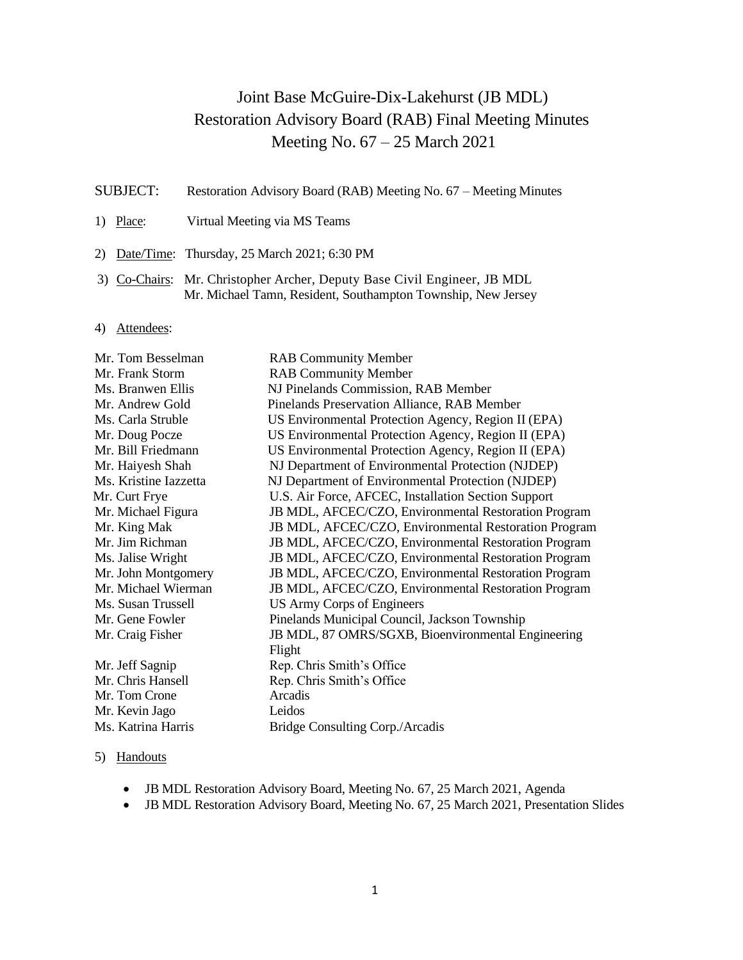# Joint Base McGuire-Dix-Lakehurst (JB MDL) Restoration Advisory Board (RAB) Final Meeting Minutes Meeting No. 67 – 25 March 2021

- SUBJECT: Restoration Advisory Board (RAB) Meeting No. 67 Meeting Minutes
- 1) Place: Virtual Meeting via MS Teams
- 2) Date/Time: Thursday, 25 March 2021; 6:30 PM
- 3) Co-Chairs: Mr. Christopher Archer, Deputy Base Civil Engineer, JB MDL Mr. Michael Tamn, Resident, Southampton Township, New Jersey
- 4) Attendees:

| <b>RAB Community Member</b>                          |
|------------------------------------------------------|
| <b>RAB Community Member</b>                          |
| NJ Pinelands Commission, RAB Member                  |
| Pinelands Preservation Alliance, RAB Member          |
| US Environmental Protection Agency, Region II (EPA)  |
| US Environmental Protection Agency, Region II (EPA)  |
| US Environmental Protection Agency, Region II (EPA)  |
| NJ Department of Environmental Protection (NJDEP)    |
| NJ Department of Environmental Protection (NJDEP)    |
| U.S. Air Force, AFCEC, Installation Section Support  |
| JB MDL, AFCEC/CZO, Environmental Restoration Program |
| JB MDL, AFCEC/CZO, Environmental Restoration Program |
| JB MDL, AFCEC/CZO, Environmental Restoration Program |
| JB MDL, AFCEC/CZO, Environmental Restoration Program |
| JB MDL, AFCEC/CZO, Environmental Restoration Program |
| JB MDL, AFCEC/CZO, Environmental Restoration Program |
| US Army Corps of Engineers                           |
| Pinelands Municipal Council, Jackson Township        |
| JB MDL, 87 OMRS/SGXB, Bioenvironmental Engineering   |
| Flight                                               |
| Rep. Chris Smith's Office                            |
| Rep. Chris Smith's Office                            |
| Arcadis                                              |
| Leidos                                               |
| Bridge Consulting Corp./Arcadis                      |
|                                                      |

### 5) Handouts

- JB MDL Restoration Advisory Board, Meeting No. 67, 25 March 2021, Agenda
- JB MDL Restoration Advisory Board, Meeting No. 67, 25 March 2021, Presentation Slides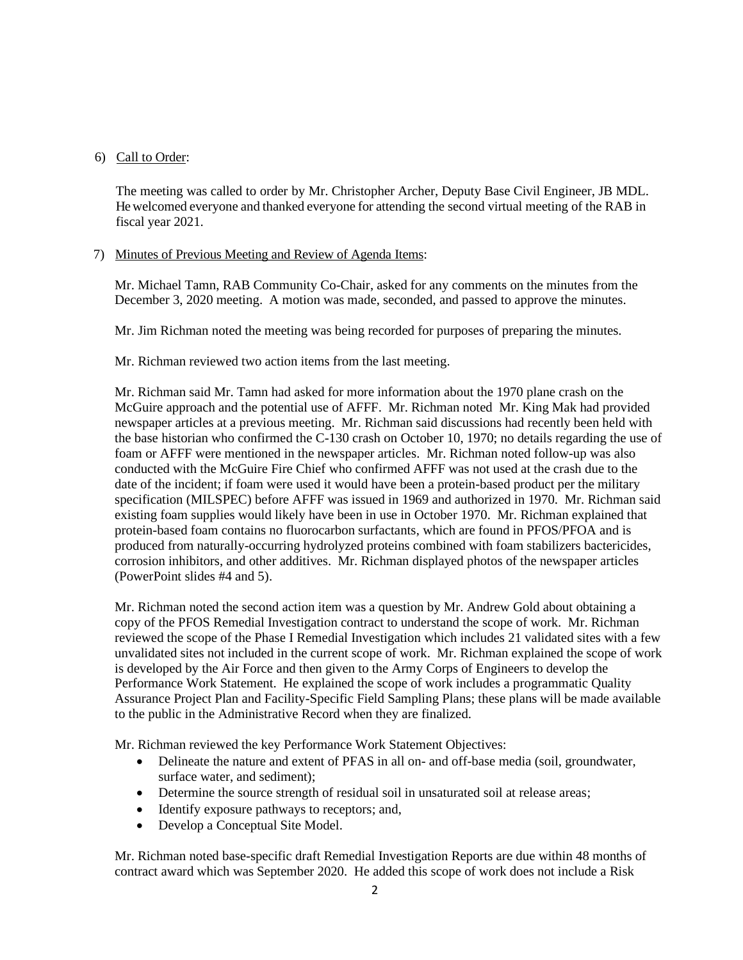## 6) Call to Order:

The meeting was called to order by Mr. Christopher Archer, Deputy Base Civil Engineer, JB MDL. He welcomed everyone and thanked everyone for attending the second virtual meeting of the RAB in fiscal year 2021.

## 7) Minutes of Previous Meeting and Review of Agenda Items:

Mr. Michael Tamn, RAB Community Co-Chair, asked for any comments on the minutes from the December 3, 2020 meeting. A motion was made, seconded, and passed to approve the minutes.

Mr. Jim Richman noted the meeting was being recorded for purposes of preparing the minutes.

Mr. Richman reviewed two action items from the last meeting.

Mr. Richman said Mr. Tamn had asked for more information about the 1970 plane crash on the McGuire approach and the potential use of AFFF. Mr. Richman noted Mr. King Mak had provided newspaper articles at a previous meeting. Mr. Richman said discussions had recently been held with the base historian who confirmed the C-130 crash on October 10, 1970; no details regarding the use of foam or AFFF were mentioned in the newspaper articles. Mr. Richman noted follow-up was also conducted with the McGuire Fire Chief who confirmed AFFF was not used at the crash due to the date of the incident; if foam were used it would have been a protein-based product per the military specification (MILSPEC) before AFFF was issued in 1969 and authorized in 1970. Mr. Richman said existing foam supplies would likely have been in use in October 1970. Mr. Richman explained that protein-based foam contains no fluorocarbon surfactants, which are found in PFOS/PFOA and is produced from naturally-occurring hydrolyzed proteins combined with foam stabilizers bactericides, corrosion inhibitors, and other additives. Mr. Richman displayed photos of the newspaper articles (PowerPoint slides #4 and 5).

Mr. Richman noted the second action item was a question by Mr. Andrew Gold about obtaining a copy of the PFOS Remedial Investigation contract to understand the scope of work. Mr. Richman reviewed the scope of the Phase I Remedial Investigation which includes 21 validated sites with a few unvalidated sites not included in the current scope of work. Mr. Richman explained the scope of work is developed by the Air Force and then given to the Army Corps of Engineers to develop the Performance Work Statement. He explained the scope of work includes a programmatic Quality Assurance Project Plan and Facility-Specific Field Sampling Plans; these plans will be made available to the public in the Administrative Record when they are finalized.

Mr. Richman reviewed the key Performance Work Statement Objectives:

- Delineate the nature and extent of PFAS in all on- and off-base media (soil, groundwater, surface water, and sediment);
- Determine the source strength of residual soil in unsaturated soil at release areas;
- Identify exposure pathways to receptors; and,
- Develop a Conceptual Site Model.

Mr. Richman noted base-specific draft Remedial Investigation Reports are due within 48 months of contract award which was September 2020. He added this scope of work does not include a Risk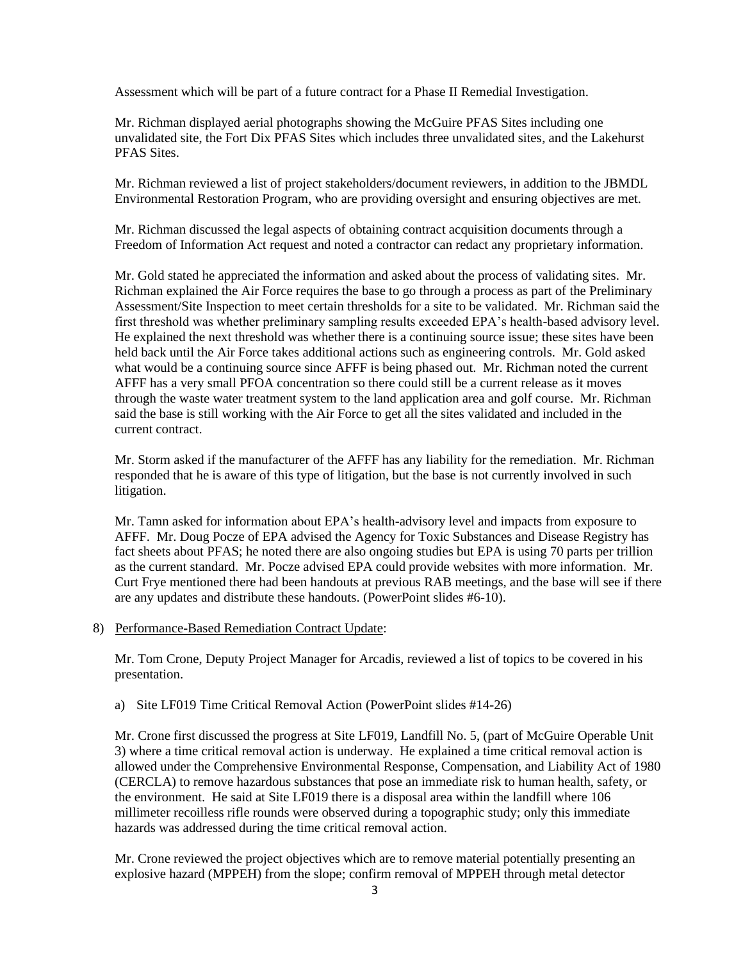Assessment which will be part of a future contract for a Phase II Remedial Investigation.

Mr. Richman displayed aerial photographs showing the McGuire PFAS Sites including one unvalidated site, the Fort Dix PFAS Sites which includes three unvalidated sites, and the Lakehurst PFAS Sites.

Mr. Richman reviewed a list of project stakeholders/document reviewers, in addition to the JBMDL Environmental Restoration Program, who are providing oversight and ensuring objectives are met.

Mr. Richman discussed the legal aspects of obtaining contract acquisition documents through a Freedom of Information Act request and noted a contractor can redact any proprietary information.

Mr. Gold stated he appreciated the information and asked about the process of validating sites. Mr. Richman explained the Air Force requires the base to go through a process as part of the Preliminary Assessment/Site Inspection to meet certain thresholds for a site to be validated. Mr. Richman said the first threshold was whether preliminary sampling results exceeded EPA's health-based advisory level. He explained the next threshold was whether there is a continuing source issue; these sites have been held back until the Air Force takes additional actions such as engineering controls. Mr. Gold asked what would be a continuing source since AFFF is being phased out. Mr. Richman noted the current AFFF has a very small PFOA concentration so there could still be a current release as it moves through the waste water treatment system to the land application area and golf course. Mr. Richman said the base is still working with the Air Force to get all the sites validated and included in the current contract.

Mr. Storm asked if the manufacturer of the AFFF has any liability for the remediation. Mr. Richman responded that he is aware of this type of litigation, but the base is not currently involved in such litigation.

Mr. Tamn asked for information about EPA's health-advisory level and impacts from exposure to AFFF. Mr. Doug Pocze of EPA advised the Agency for Toxic Substances and Disease Registry has fact sheets about PFAS; he noted there are also ongoing studies but EPA is using 70 parts per trillion as the current standard. Mr. Pocze advised EPA could provide websites with more information. Mr. Curt Frye mentioned there had been handouts at previous RAB meetings, and the base will see if there are any updates and distribute these handouts. (PowerPoint slides #6-10).

## 8) Performance-Based Remediation Contract Update:

Mr. Tom Crone, Deputy Project Manager for Arcadis, reviewed a list of topics to be covered in his presentation.

a) Site LF019 Time Critical Removal Action (PowerPoint slides #14-26)

Mr. Crone first discussed the progress at Site LF019, Landfill No. 5, (part of McGuire Operable Unit 3) where a time critical removal action is underway. He explained a time critical removal action is allowed under the Comprehensive Environmental Response, Compensation, and Liability Act of 1980 (CERCLA) to remove hazardous substances that pose an immediate risk to human health, safety, or the environment. He said at Site LF019 there is a disposal area within the landfill where 106 millimeter recoilless rifle rounds were observed during a topographic study; only this immediate hazards was addressed during the time critical removal action.

Mr. Crone reviewed the project objectives which are to remove material potentially presenting an explosive hazard (MPPEH) from the slope; confirm removal of MPPEH through metal detector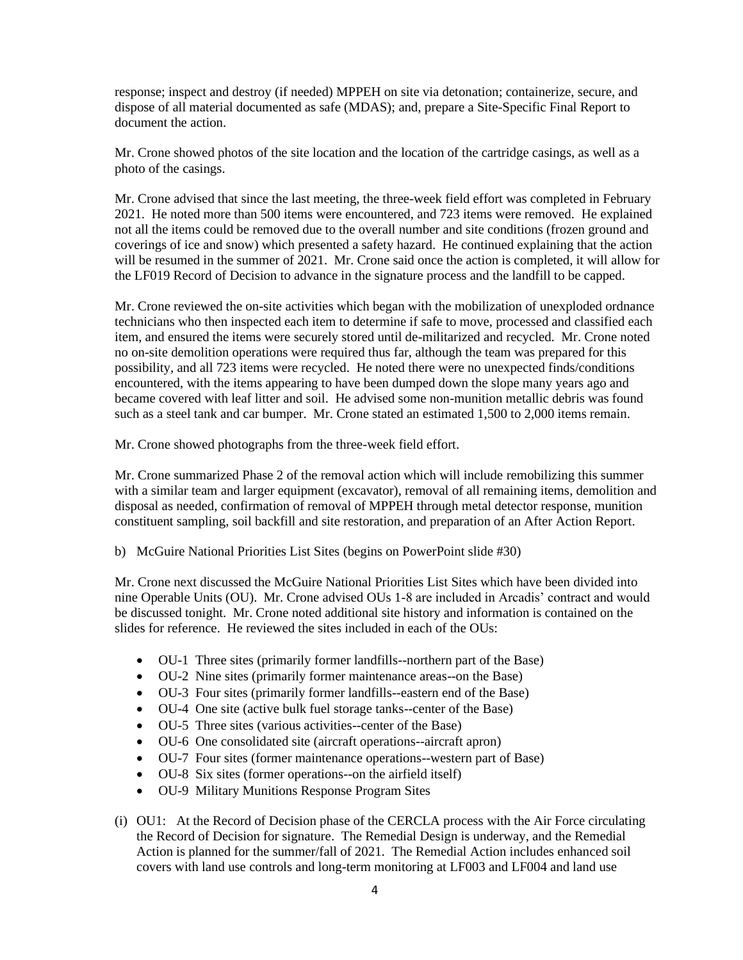response; inspect and destroy (if needed) MPPEH on site via detonation; containerize, secure, and dispose of all material documented as safe (MDAS); and, prepare a Site-Specific Final Report to document the action.

Mr. Crone showed photos of the site location and the location of the cartridge casings, as well as a photo of the casings.

Mr. Crone advised that since the last meeting, the three-week field effort was completed in February 2021. He noted more than 500 items were encountered, and 723 items were removed. He explained not all the items could be removed due to the overall number and site conditions (frozen ground and coverings of ice and snow) which presented a safety hazard. He continued explaining that the action will be resumed in the summer of 2021. Mr. Crone said once the action is completed, it will allow for the LF019 Record of Decision to advance in the signature process and the landfill to be capped.

Mr. Crone reviewed the on-site activities which began with the mobilization of unexploded ordnance technicians who then inspected each item to determine if safe to move, processed and classified each item, and ensured the items were securely stored until de-militarized and recycled. Mr. Crone noted no on-site demolition operations were required thus far, although the team was prepared for this possibility, and all 723 items were recycled. He noted there were no unexpected finds/conditions encountered, with the items appearing to have been dumped down the slope many years ago and became covered with leaf litter and soil. He advised some non-munition metallic debris was found such as a steel tank and car bumper. Mr. Crone stated an estimated 1,500 to 2,000 items remain.

Mr. Crone showed photographs from the three-week field effort.

Mr. Crone summarized Phase 2 of the removal action which will include remobilizing this summer with a similar team and larger equipment (excavator), removal of all remaining items, demolition and disposal as needed, confirmation of removal of MPPEH through metal detector response, munition constituent sampling, soil backfill and site restoration, and preparation of an After Action Report.

b) McGuire National Priorities List Sites (begins on PowerPoint slide #30)

Mr. Crone next discussed the McGuire National Priorities List Sites which have been divided into nine Operable Units (OU). Mr. Crone advised OUs 1-8 are included in Arcadis' contract and would be discussed tonight. Mr. Crone noted additional site history and information is contained on the slides for reference. He reviewed the sites included in each of the OUs:

- OU-1 Three sites (primarily former landfills--northern part of the Base)
- OU-2 Nine sites (primarily former maintenance areas--on the Base)
- OU-3 Four sites (primarily former landfills--eastern end of the Base)
- OU-4 One site (active bulk fuel storage tanks--center of the Base)
- OU-5 Three sites (various activities--center of the Base)
- OU-6 One consolidated site (aircraft operations--aircraft apron)
- OU-7 Four sites (former maintenance operations--western part of Base)
- OU-8 Six sites (former operations--on the airfield itself)
- OU-9 Military Munitions Response Program Sites
- (i) OU1: At the Record of Decision phase of the CERCLA process with the Air Force circulating the Record of Decision for signature. The Remedial Design is underway, and the Remedial Action is planned for the summer/fall of 2021. The Remedial Action includes enhanced soil covers with land use controls and long-term monitoring at LF003 and LF004 and land use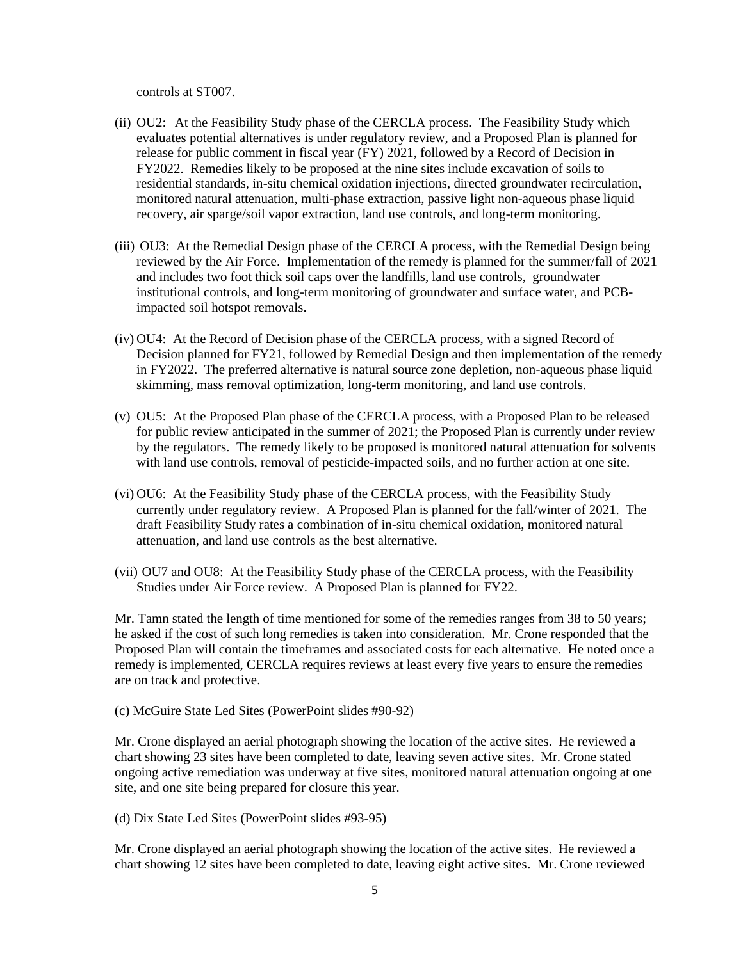controls at ST007.

- (ii) OU2: At the Feasibility Study phase of the CERCLA process. The Feasibility Study which evaluates potential alternatives is under regulatory review, and a Proposed Plan is planned for release for public comment in fiscal year (FY) 2021, followed by a Record of Decision in FY2022. Remedies likely to be proposed at the nine sites include excavation of soils to residential standards, in-situ chemical oxidation injections, directed groundwater recirculation, monitored natural attenuation, multi-phase extraction, passive light non-aqueous phase liquid recovery, air sparge/soil vapor extraction, land use controls, and long-term monitoring.
- (iii) OU3: At the Remedial Design phase of the CERCLA process, with the Remedial Design being reviewed by the Air Force. Implementation of the remedy is planned for the summer/fall of 2021 and includes two foot thick soil caps over the landfills, land use controls, groundwater institutional controls, and long-term monitoring of groundwater and surface water, and PCBimpacted soil hotspot removals.
- (iv) OU4: At the Record of Decision phase of the CERCLA process, with a signed Record of Decision planned for FY21, followed by Remedial Design and then implementation of the remedy in FY2022. The preferred alternative is natural source zone depletion, non-aqueous phase liquid skimming, mass removal optimization, long-term monitoring, and land use controls.
- (v) OU5: At the Proposed Plan phase of the CERCLA process, with a Proposed Plan to be released for public review anticipated in the summer of 2021; the Proposed Plan is currently under review by the regulators. The remedy likely to be proposed is monitored natural attenuation for solvents with land use controls, removal of pesticide-impacted soils, and no further action at one site.
- (vi) OU6: At the Feasibility Study phase of the CERCLA process, with the Feasibility Study currently under regulatory review. A Proposed Plan is planned for the fall/winter of 2021. The draft Feasibility Study rates a combination of in-situ chemical oxidation, monitored natural attenuation, and land use controls as the best alternative.
- (vii) OU7 and OU8: At the Feasibility Study phase of the CERCLA process, with the Feasibility Studies under Air Force review. A Proposed Plan is planned for FY22.

Mr. Tamn stated the length of time mentioned for some of the remedies ranges from 38 to 50 years; he asked if the cost of such long remedies is taken into consideration. Mr. Crone responded that the Proposed Plan will contain the timeframes and associated costs for each alternative. He noted once a remedy is implemented, CERCLA requires reviews at least every five years to ensure the remedies are on track and protective.

(c) McGuire State Led Sites (PowerPoint slides #90-92)

Mr. Crone displayed an aerial photograph showing the location of the active sites. He reviewed a chart showing 23 sites have been completed to date, leaving seven active sites. Mr. Crone stated ongoing active remediation was underway at five sites, monitored natural attenuation ongoing at one site, and one site being prepared for closure this year.

(d) Dix State Led Sites (PowerPoint slides #93-95)

Mr. Crone displayed an aerial photograph showing the location of the active sites. He reviewed a chart showing 12 sites have been completed to date, leaving eight active sites. Mr. Crone reviewed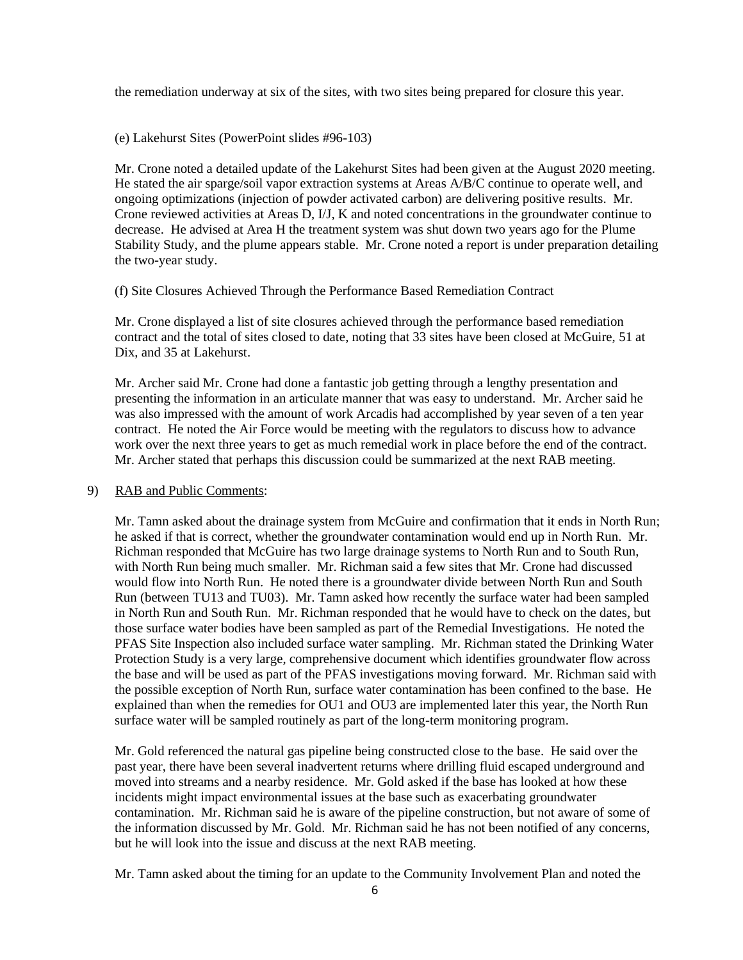the remediation underway at six of the sites, with two sites being prepared for closure this year.

(e) Lakehurst Sites (PowerPoint slides #96-103)

Mr. Crone noted a detailed update of the Lakehurst Sites had been given at the August 2020 meeting. He stated the air sparge/soil vapor extraction systems at Areas A/B/C continue to operate well, and ongoing optimizations (injection of powder activated carbon) are delivering positive results. Mr. Crone reviewed activities at Areas D, I/J, K and noted concentrations in the groundwater continue to decrease. He advised at Area H the treatment system was shut down two years ago for the Plume Stability Study, and the plume appears stable. Mr. Crone noted a report is under preparation detailing the two-year study.

(f) Site Closures Achieved Through the Performance Based Remediation Contract

Mr. Crone displayed a list of site closures achieved through the performance based remediation contract and the total of sites closed to date, noting that 33 sites have been closed at McGuire, 51 at Dix, and 35 at Lakehurst.

Mr. Archer said Mr. Crone had done a fantastic job getting through a lengthy presentation and presenting the information in an articulate manner that was easy to understand. Mr. Archer said he was also impressed with the amount of work Arcadis had accomplished by year seven of a ten year contract. He noted the Air Force would be meeting with the regulators to discuss how to advance work over the next three years to get as much remedial work in place before the end of the contract. Mr. Archer stated that perhaps this discussion could be summarized at the next RAB meeting.

### 9) RAB and Public Comments:

Mr. Tamn asked about the drainage system from McGuire and confirmation that it ends in North Run; he asked if that is correct, whether the groundwater contamination would end up in North Run. Mr. Richman responded that McGuire has two large drainage systems to North Run and to South Run, with North Run being much smaller. Mr. Richman said a few sites that Mr. Crone had discussed would flow into North Run. He noted there is a groundwater divide between North Run and South Run (between TU13 and TU03). Mr. Tamn asked how recently the surface water had been sampled in North Run and South Run. Mr. Richman responded that he would have to check on the dates, but those surface water bodies have been sampled as part of the Remedial Investigations. He noted the PFAS Site Inspection also included surface water sampling. Mr. Richman stated the Drinking Water Protection Study is a very large, comprehensive document which identifies groundwater flow across the base and will be used as part of the PFAS investigations moving forward. Mr. Richman said with the possible exception of North Run, surface water contamination has been confined to the base. He explained than when the remedies for OU1 and OU3 are implemented later this year, the North Run surface water will be sampled routinely as part of the long-term monitoring program.

Mr. Gold referenced the natural gas pipeline being constructed close to the base. He said over the past year, there have been several inadvertent returns where drilling fluid escaped underground and moved into streams and a nearby residence. Mr. Gold asked if the base has looked at how these incidents might impact environmental issues at the base such as exacerbating groundwater contamination. Mr. Richman said he is aware of the pipeline construction, but not aware of some of the information discussed by Mr. Gold. Mr. Richman said he has not been notified of any concerns, but he will look into the issue and discuss at the next RAB meeting.

Mr. Tamn asked about the timing for an update to the Community Involvement Plan and noted the